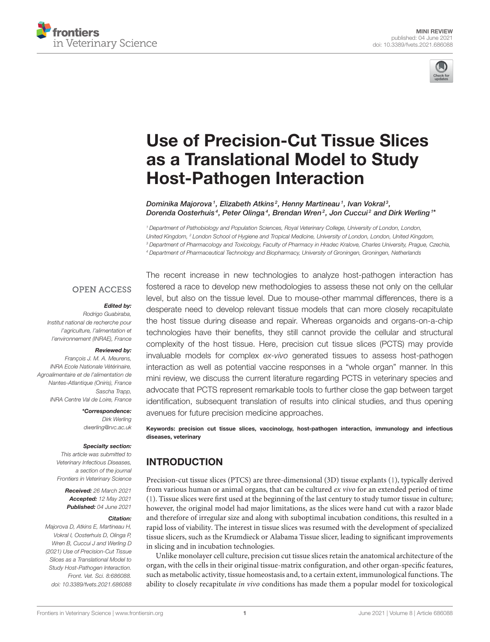



# [Use of Precision-Cut Tissue Slices](https://www.frontiersin.org/articles/10.3389/fvets.2021.686088/full) as a Translational Model to Study Host-Pathogen Interaction

Dominika Majorova1, Elizabeth Atkins<sup>2</sup>, Henny Martineau1, Ivan Vokral3, Dorenda Oosterhuis $\,4$ , Peter Olinga $\,4$ , Brendan Wren $^2$ , Jon Cuccui $^2$  and Dirk Werling  $^{1*}$ 

<sup>1</sup> Department of Pathobiology and Population Sciences, Royal Veterinary College, University of London, London, United Kingdom, <sup>2</sup> London School of Hygiene and Tropical Medicine, University of London, London, United Kingdom, <sup>3</sup> Department of Pharmacology and Toxicology, Faculty of Pharmacy in Hradec Kralove, Charles University, Prague, Czechia, <sup>4</sup> Department of Pharmaceutical Technology and Biopharmacy, University of Groningen, Groningen, Netherlands

#### **OPEN ACCESS**

#### Edited by:

Rodrigo Guabiraba, Institut national de recherche pour l'agriculture, l'alimentation et l'environnement (INRAE), France

#### Reviewed by:

François J. M. A. Meurens, INRA Ecole Nationale Vétérinaire, Agroalimentaire et de l'alimentation de Nantes-Atlantique (Oniris), France Sascha Trapp, INRA Centre Val de Loire, France

> \*Correspondence: Dirk Werling [dwerling@rvc.ac.uk](mailto:dwerling@rvc.ac.uk)

#### Specialty section:

This article was submitted to Veterinary Infectious Diseases, a section of the journal Frontiers in Veterinary Science

> Received: 26 March 2021 Accepted: 12 May 2021 Published: 04 June 2021

#### Citation:

Majorova D, Atkins E, Martineau H, Vokral I, Oosterhuis D, Olinga P, Wren B, Cuccui J and Werling D (2021) Use of Precision-Cut Tissue Slices as a Translational Model to Study Host-Pathogen Interaction. Front. Vet. Sci. 8:686088. doi: [10.3389/fvets.2021.686088](https://doi.org/10.3389/fvets.2021.686088)

The recent increase in new technologies to analyze host-pathogen interaction has fostered a race to develop new methodologies to assess these not only on the cellular level, but also on the tissue level. Due to mouse-other mammal differences, there is a desperate need to develop relevant tissue models that can more closely recapitulate the host tissue during disease and repair. Whereas organoids and organs-on-a-chip technologies have their benefits, they still cannot provide the cellular and structural complexity of the host tissue. Here, precision cut tissue slices (PCTS) may provide invaluable models for complex ex-vivo generated tissues to assess host-pathogen interaction as well as potential vaccine responses in a "whole organ" manner. In this mini review, we discuss the current literature regarding PCTS in veterinary species and advocate that PCTS represent remarkable tools to further close the gap between target identification, subsequent translation of results into clinical studies, and thus opening avenues for future precision medicine approaches.

Keywords: precision cut tissue slices, vaccinology, host-pathogen interaction, immunology and infectious diseases, veterinary

### INTRODUCTION

Precision-cut tissue slices (PTCS) are three-dimensional (3D) tissue explants [\(1\)](#page-5-0), typically derived from various human or animal organs, that can be cultured ex vivo for an extended period of time [\(1\)](#page-5-0). Tissue slices were first used at the beginning of the last century to study tumor tissue in culture; however, the original model had major limitations, as the slices were hand cut with a razor blade and therefore of irregular size and along with suboptimal incubation conditions, this resulted in a rapid loss of viability. The interest in tissue slices was resumed with the development of specialized tissue slicers, such as the Krumdieck or Alabama Tissue slicer, leading to significant improvements in slicing and in incubation technologies.

Unlike monolayer cell culture, precision cut tissue slices retain the anatomical architecture of the organ, with the cells in their original tissue-matrix configuration, and other organ-specific features, such as metabolic activity, tissue homeostasis and, to a certain extent, immunological functions. The ability to closely recapitulate in vivo conditions has made them a popular model for toxicological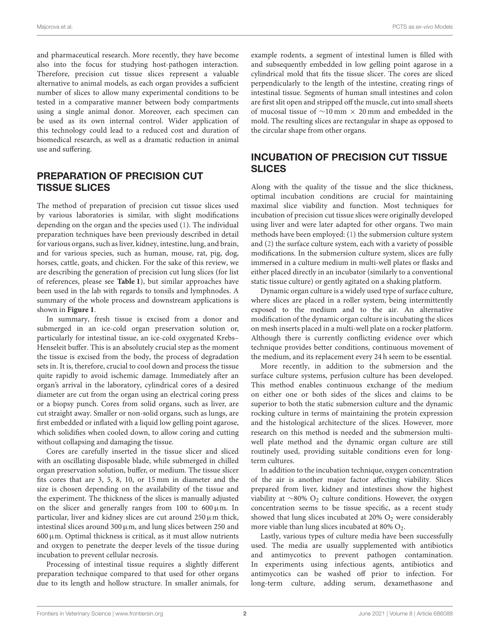and pharmaceutical research. More recently, they have become also into the focus for studying host-pathogen interaction. Therefore, precision cut tissue slices represent a valuable alternative to animal models, as each organ provides a sufficient number of slices to allow many experimental conditions to be tested in a comparative manner between body compartments using a single animal donor. Moreover, each specimen can be used as its own internal control. Wider application of this technology could lead to a reduced cost and duration of biomedical research, as well as a dramatic reduction in animal use and suffering.

### PREPARATION OF PRECISION CUT TISSUE SLICES

The method of preparation of precision cut tissue slices used by various laboratories is similar, with slight modifications depending on the organ and the species used [\(1\)](#page-5-0). The individual preparation techniques have been previously described in detail for various organs, such as liver, kidney, intestine, lung, and brain, and for various species, such as human, mouse, rat, pig, dog, horses, cattle, goats, and chicken. For the sake of this review, we are describing the generation of precision cut lung slices (for list of references, please see **[Table 1](#page-2-0)**), but similar approaches have been used in the lab with regards to tonsils and lymphnodes. A summary of the whole process and downstream applications is shown in **[Figure 1](#page-3-0)**.

In summary, fresh tissue is excised from a donor and submerged in an ice-cold organ preservation solution or, particularly for intestinal tissue, an ice-cold oxygenated Krebs– Henseleit buffer. This is an absolutely crucial step as the moment the tissue is excised from the body, the process of degradation sets in. It is, therefore, crucial to cool down and process the tissue quite rapidly to avoid ischemic damage. Immediately after an organ's arrival in the laboratory, cylindrical cores of a desired diameter are cut from the organ using an electrical coring press or a biopsy punch. Cores from solid organs, such as liver, are cut straight away. Smaller or non-solid organs, such as lungs, are first embedded or inflated with a liquid low gelling point agarose, which solidifies when cooled down, to allow coring and cutting without collapsing and damaging the tissue.

Cores are carefully inserted in the tissue slicer and sliced with an oscillating disposable blade, while submerged in chilled organ preservation solution, buffer, or medium. The tissue slicer fits cores that are 3, 5, 8, 10, or 15 mm in diameter and the size is chosen depending on the availability of the tissue and the experiment. The thickness of the slices is manually adjusted on the slicer and generally ranges from 100 to  $600 \,\mu \text{m}$ . In particular, liver and kidney slices are cut around  $250 \,\mu m$  thick, intestinal slices around 300  $\mu$ m, and lung slices between 250 and  $600 \,\mu$ m. Optimal thickness is critical, as it must allow nutrients and oxygen to penetrate the deeper levels of the tissue during incubation to prevent cellular necrosis.

Processing of intestinal tissue requires a slightly different preparation technique compared to that used for other organs due to its length and hollow structure. In smaller animals, for example rodents, a segment of intestinal lumen is filled with and subsequently embedded in low gelling point agarose in a cylindrical mold that fits the tissue slicer. The cores are sliced perpendicularly to the length of the intestine, creating rings of intestinal tissue. Segments of human small intestines and colon are first slit open and stripped off the muscle, cut into small sheets of mucosal tissue of ∼10 mm × 20 mm and embedded in the mold. The resulting slices are rectangular in shape as opposed to the circular shape from other organs.

## INCUBATION OF PRECISION CUT TISSUE SLICES

Along with the quality of the tissue and the slice thickness, optimal incubation conditions are crucial for maintaining maximal slice viability and function. Most techniques for incubation of precision cut tissue slices were originally developed using liver and were later adapted for other organs. Two main methods have been employed: [\(1\)](#page-5-0) the submersion culture system and [\(2\)](#page-5-1) the surface culture system, each with a variety of possible modifications. In the submersion culture system, slices are fully immersed in a culture medium in multi-well plates or flasks and either placed directly in an incubator (similarly to a conventional static tissue culture) or gently agitated on a shaking platform.

Dynamic organ culture is a widely used type of surface culture, where slices are placed in a roller system, being intermittently exposed to the medium and to the air. An alternative modification of the dynamic organ culture is incubating the slices on mesh inserts placed in a multi-well plate on a rocker platform. Although there is currently conflicting evidence over which technique provides better conditions, continuous movement of the medium, and its replacement every 24 h seem to be essential.

More recently, in addition to the submersion and the surface culture systems, perfusion culture has been developed. This method enables continuous exchange of the medium on either one or both sides of the slices and claims to be superior to both the static submersion culture and the dynamic rocking culture in terms of maintaining the protein expression and the histological architecture of the slices. However, more research on this method is needed and the submersion multiwell plate method and the dynamic organ culture are still routinely used, providing suitable conditions even for longterm cultures.

In addition to the incubation technique, oxygen concentration of the air is another major factor affecting viability. Slices prepared from liver, kidney and intestines show the highest viability at ∼80% O<sup>2</sup> culture conditions. However, the oxygen concentration seems to be tissue specific, as a recent study showed that lung slices incubated at  $20\%$  O<sub>2</sub> were considerably more viable than lung slices incubated at  $80\%$   $O_2$ .

Lastly, various types of culture media have been successfully used. The media are usually supplemented with antibiotics and antimycotics to prevent pathogen contamination. In experiments using infectious agents, antibiotics and antimycotics can be washed off prior to infection. For long-term culture, adding serum, dexamethasone and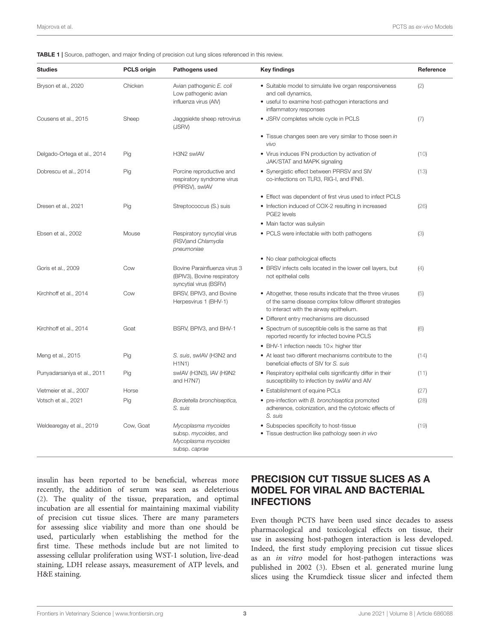<span id="page-2-0"></span>TABLE 1 | Source, pathogen, and major finding of precision cut lung slices referenced in this review.

| <b>Studies</b>              | <b>PCLS origin</b> | Pathogens used                                                                        | <b>Key findings</b>                                                                                                                                               | Reference |
|-----------------------------|--------------------|---------------------------------------------------------------------------------------|-------------------------------------------------------------------------------------------------------------------------------------------------------------------|-----------|
| Bryson et al., 2020         | Chicken            | Avian pathogenic E. coli<br>Low pathogenic avian<br>influenza virus (AIV)             | • Suitable model to simulate live organ responsiveness<br>and cell dynamics,<br>• useful to examine host-pathogen interactions and<br>inflammatory responses      | (2)       |
| Cousens et al., 2015        | Sheep              | Jaggsiekte sheep retrovirus<br>(JSRV)                                                 | • JSRV completes whole cycle in PCLS                                                                                                                              | (7)       |
|                             |                    |                                                                                       | • Tissue changes seen are very similar to those seen in<br>vivo                                                                                                   |           |
| Delgado-Ortega et al., 2014 | Pig                | H3N2 swIAV                                                                            | • Virus induces IFN production by activation of<br>JAK/STAT and MAPK signaling                                                                                    | (10)      |
| Dobrescu et al., 2014       | Pig                | Porcine reproductive and<br>respiratory syndrome virus<br>(PRRSV), swIAV              | • Synergistic effect between PRRSV and SIV<br>co-infections on TLR3, RIG-I, and IFNB.                                                                             | (13)      |
|                             |                    |                                                                                       | • Effect was dependent of first virus used to infect PCLS                                                                                                         |           |
| Dresen et al., 2021         | Pig                | Streptococcus (S.) suis                                                               | • Infection induced of COX-2 resulting in increased<br>PGE2 levels                                                                                                | (26)      |
|                             |                    |                                                                                       | • Main factor was suilysin                                                                                                                                        |           |
| Ebsen et al., 2002          | Mouse              | Respiratory syncytial virus<br>(RSV)and Chlamydia<br>pneumoniae                       | • PCLS were infectable with both pathogens                                                                                                                        | (3)       |
|                             |                    |                                                                                       | • No clear pathological effects                                                                                                                                   |           |
| Goris et al., 2009          | Cow                | Bovine Parainfluenza virus 3<br>(BPIV3), Bovine respiratory<br>syncytial virus (BSRV) | • BRSV infects cells located in the lower cell layers, but<br>not epithelial cells                                                                                | (4)       |
| Kirchhoff et al., 2014      | Cow                | BRSV, BPIV3, and Bovine<br>Herpesvirus 1 (BHV-1)                                      | • Altogether, these results indicate that the three viruses<br>of the same disease complex follow different strategies<br>to interact with the airway epithelium. | (5)       |
|                             |                    |                                                                                       | · Different entry mechanisms are discussed                                                                                                                        |           |
| Kirchhoff et al., 2014      | Goat               | BSRV, BPIV3, and BHV-1                                                                | • Spectrum of susceptible cells is the same as that<br>reported recently for infected bovine PCLS                                                                 | (6)       |
|                             |                    |                                                                                       | $\bullet$ BHV-1 infection needs 10 $\times$ higher titer                                                                                                          |           |
| Meng et al., 2015           | Pig                | S. suis, swIAV (H3N2 and<br>H1N1)                                                     | • At least two different mechanisms contribute to the<br>beneficial effects of SIV for S. suis                                                                    | (14)      |
| Punyadarsaniya et al., 2011 | Pig                | swIAV (H3N3), IAV (H9N2<br>and H7N7)                                                  | • Respiratory epithelial cells significantly differ in their<br>susceptibility to infection by swIAV and AIV                                                      | (11)      |
| Vietmeier et al., 2007      | Horse              |                                                                                       | • Establishment of equine PCLs                                                                                                                                    | (27)      |
| Votsch et al., 2021         | Pig                | Bordetella bronchiseptica,<br>S. suis                                                 | • pre-infection with B. bronchiseptica promoted<br>adherence, colonization, and the cytotoxic effects of<br>S. suis                                               | (28)      |
| Weldearegay et al., 2019    | Cow, Goat          | Mycoplasma mycoides<br>subsp. mycoides, and<br>Mycoplasma mycoides<br>subsp. caprae   | • Subspecies specificity to host-tissue<br>· Tissue destruction like pathology seen in vivo                                                                       | (19)      |

insulin has been reported to be beneficial, whereas more recently, the addition of serum was seen as deleterious [\(2\)](#page-5-1). The quality of the tissue, preparation, and optimal incubation are all essential for maintaining maximal viability of precision cut tissue slices. There are many parameters for assessing slice viability and more than one should be used, particularly when establishing the method for the first time. These methods include but are not limited to assessing cellular proliferation using WST-1 solution, live-dead staining, LDH release assays, measurement of ATP levels, and H&E staining.

# PRECISION CUT TISSUE SLICES AS A MODEL FOR VIRAL AND BACTERIAL INFECTIONS

Even though PCTS have been used since decades to assess pharmacological and toxicological effects on tissue, their use in assessing host-pathogen interaction is less developed. Indeed, the first study employing precision cut tissue slices as an in vitro model for host-pathogen interactions was published in 2002 [\(3\)](#page-5-5). Ebsen et al. generated murine lung slices using the Krumdieck tissue slicer and infected them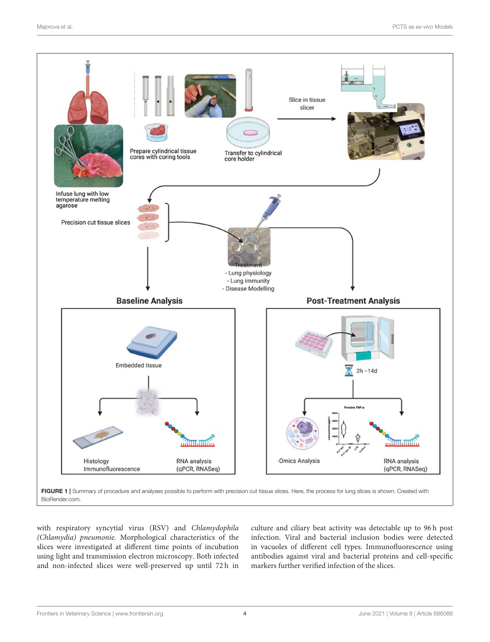

<span id="page-3-0"></span>[BioRender.com.](https://BioRender.com)

with respiratory syncytial virus (RSV) and Chlamydophila (Chlamydia) pneumonie. Morphological characteristics of the slices were investigated at different time points of incubation using light and transmission electron microscopy. Both infected and non-infected slices were well-preserved up until 72 h in culture and ciliary beat activity was detectable up to 96 h post infection. Viral and bacterial inclusion bodies were detected in vacuoles of different cell types. Immunofluorescence using antibodies against viral and bacterial proteins and cell-specific markers further verified infection of the slices.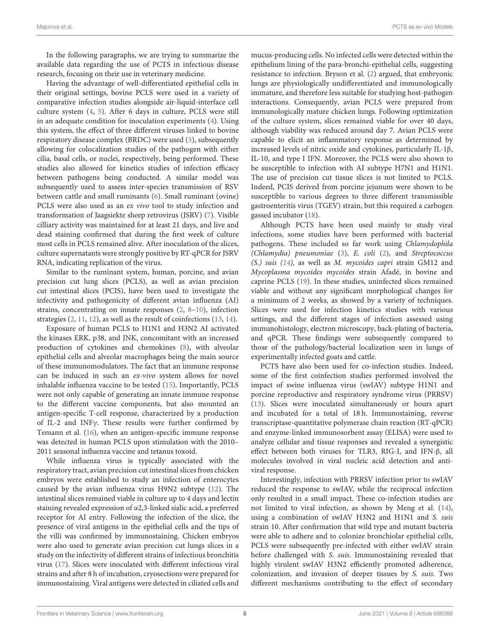In the following paragraphs, we are trying to summarize the available data regarding the use of PCTS in infectious disease research, focusing on their use in veterinary medicine.

Having the advantage of well-differentiated epithelial cells in their original settings, bovine PCLS were used in a variety of comparative infection studies alongside air-liquid-interface cell culture system [\(4,](#page-5-6) [5\)](#page-5-7). After 6 days in culture, PCLS were still in an adequate condition for inoculation experiments [\(4\)](#page-5-6). Using this system, the effect of three different viruses linked to bovine respiratory disease complex (BRDC) were used [\(5\)](#page-5-7), subsequently allowing for colocalization studies of the pathogen with either cilia, basal cells, or nuclei, respectively, being performed. These studies also allowed for kinetics studies of infection efficacy between pathogens being conducted. A similar model was subsequently used to assess inter-species transmission of RSV between cattle and small ruminants [\(6\)](#page-5-8). Small ruminant (ovine) PCLS were also used as an ex vivo tool to study infection and transformation of Jaagsiekte sheep retrovirus (JSRV) [\(7\)](#page-5-2). Visible cilliary activity was maintained for at least 21 days, and live and dead staining confirmed that during the first week of culture most cells in PCLS remained alive. After inoculation of the slices, culture supernatants were strongly positive by RT-qPCR for JSRV RNA, indicating replication of the virus.

Similar to the ruminant system, human, porcine, and avian precision cut lung slices (PCLS), as well as avian precision cut intestinal slices (PCIS), have been used to investigate the infectivity and pathogenicity of different avian influenza (AI) strains, concentrating on innate responses [\(2,](#page-5-1) [8–](#page-5-12)[10\)](#page-5-3), infection strategies [\(2,](#page-5-1) [11,](#page-5-10) [12\)](#page-5-13), as well as the result of coinfections [\(13,](#page-5-4) [14\)](#page-5-9).

Exposure of human PCLS to H1N1 and H3N2 AI activated the kinases ERK, p38, and JNK, concomitant with an increased production of cytokines and chemokines [\(8\)](#page-5-12), with alveolar epithelial cells and alveolar macrophages being the main source of these immunomodulators. The fact that an immune response can be induced in such an ex-vivo system allows for novel inhalable influenza vaccine to be tested [\(15\)](#page-5-14). Importantly, PCLS were not only capable of generating an innate immune response to the different vaccine components, but also mounted an antigen-specific T-cell response, characterized by a production of IL-2 and INFγ. These results were further confirmed by Temann et al. [\(16\)](#page-5-15), when an antigen-specific immune response was detected in human PCLS upon stimulation with the 2010– 2011 seasonal influenza vaccine and tetanus toxoid.

While influenza virus is typically associated with the respiratory tract, avian precision cut intestinal slices from chicken embryos were established to study an infection of enterocytes caused by the avian influenza virus H9N2 subtype [\(12\)](#page-5-13). The intestinal slices remained viable in culture up to 4 days and lectin staining revealed expression of α2,3-linked sialic acid, a preferred receptor for AI entry. Following the infection of the slice, the presence of viral antigens in the epithelial cells and the tips of the villi was confirmed by immunostaining. Chicken embryos were also used to generate avian precision cut lungs slices in a study on the infectivity of different strains of infectious bronchitis virus [\(17\)](#page-5-16). Slices were inoculated with different infectious viral strains and after 8 h of incubation, cryosections were prepared for immunostaining. Viral antigens were detected in ciliated cells and mucus-producing cells. No infected cells were detected within the epithelium lining of the para-bronchi-epithelial cells, suggesting resistance to infection. Bryson et al. [\(2\)](#page-5-1) argued, that embryonic lungs are physiologically undifferentiated and immunologically immature, and therefore less suitable for studying host-pathogen interactions. Consequently, avian PCLS were prepared from immunologically mature chicken lungs. Following optimization of the culture system, slices remained viable for over 40 days, although viability was reduced around day 7. Avian PCLS were capable to elicit an inflammatory response as determined by increased levels of nitric oxide and cytokines, particularly IL-1β, IL-10, and type I IFN. Moreover, the PCLS were also shown to be susceptible to infection with AI subtype H7N1 and H1N1. The use of precision cut tissue slices is not limited to PCLS. Indeed, PCIS derived from porcine jejunum were shown to be susceptible to various degrees to three different transmissible gastroenteritis virus (TGEV) strain, but this required a carbogen gassed incubator [\(18\)](#page-5-17).

Although PCTS have been used mainly to study viral infections, some studies have been performed with bacterial pathogens. These included so far work using Chlamydophila (Chlamydia) pneumoniae [\(3\)](#page-5-5), E. coli [\(2\)](#page-5-1), and Streptococcus (S.) suis [\(14\)](#page-5-9), as well as M. mycoides capri strain GM12 and Mycoplasma mycoides mycoides strain Afadé, in bovine and caprine PCLS [\(19\)](#page-5-11). In these studies, uninfected slices remained viable and without any significant morphological changes for a minimum of 2 weeks, as showed by a variety of techniques. Slices were used for infection kinetics studies with various settings, and the different stages of infection assessed using immunohistology, electron microscopy, back-plating of bacteria, and qPCR. These findings were subsequently compared to those of the pathology/bacterial localization seen in lungs of experimentally infected goats and cattle.

PCTS have also been used for co-infection studies. Indeed, some of the first coinfection studies performed involved the impact of swine influenza virus (swIAV) subtype H1N1 and porcine reproductive and respiratory syndrome virus (PRRSV) [\(13\)](#page-5-4). Slices were inoculated simultaneously or hours apart and incubated for a total of 18 h. Immunostaining, reverse transcriptase-quantitative polymerase chain reaction (RT-qPCR) and enzyme-linked immunosorbent assay (ELISA) were used to analyze cellular and tissue responses and revealed a synergistic effect between both viruses for TLR3, RIG-I, and IFN-β, all molecules involved in viral nucleic acid detection and antiviral response.

Interestingly, infection with PRRSV infection prior to swIAV reduced the response to swIAV, while the reciprocal infection only resulted in a small impact. These co-infection studies are not limited to viral infection, as shown by Meng et al. [\(14\)](#page-5-9), using a combination of swIAV H3N2 and H1N1 and S. suis strain 10. After confirmation that wild type and mutant bacteria were able to adhere and to colonize bronchiolar epithelial cells, PCLS were subsequently pre-infected with either swIAV strain before challenged with S. suis. Immunostaining revealed that highly virulent swIAV H3N2 efficiently promoted adherence, colonization, and invasion of deeper tissues by S. suis. Two different mechanisms contributing to the effect of secondary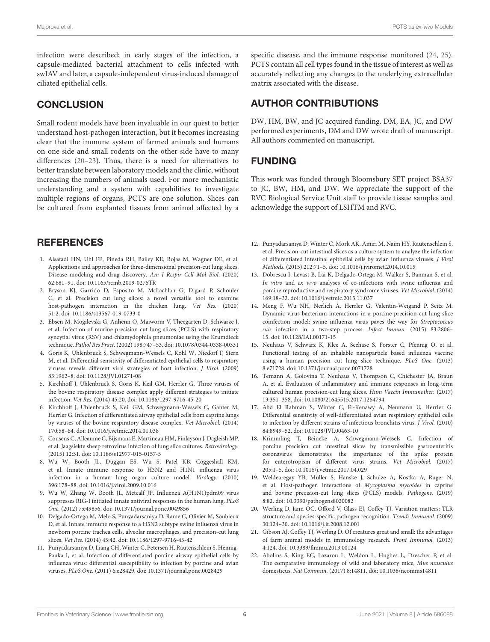infection were described; in early stages of the infection, a capsule-mediated bacterial attachment to cells infected with swIAV and later, a capsule-independent virus-induced damage of ciliated epithelial cells.

### **CONCLUSION**

Small rodent models have been invaluable in our quest to better understand host-pathogen interaction, but it becomes increasing clear that the immune system of farmed animals and humans on one side and small rodents on the other side have to many differences [\(20–](#page-5-18)[23\)](#page-6-3). Thus, there is a need for alternatives to better translate between laboratory models and the clinic, without increasing the numbers of animals used. For more mechanistic understanding and a system with capabilities to investigate multiple regions of organs, PCTS are one solution. Slices can be cultured from explanted tissues from animal affected by a

### **REFERENCES**

- <span id="page-5-0"></span>1. Alsafadi HN, Uhl FE, Pineda RH, Bailey KE, Rojas M, Wagner DE, et al. Applications and approaches for three-dimensional precision-cut lung slices. Disease modeling and drug discovery. Am J Respir Cell Mol Biol. (2020) 62:681–91. doi: [10.1165/rcmb.2019-0276TR](https://doi.org/10.1165/rcmb.2019-0276TR)
- <span id="page-5-1"></span>2. Bryson KJ, Garrido D, Esposito M, McLachlan G, Digard P, Schouler C, et al. Precision cut lung slices: a novel versatile tool to examine host-pathogen interaction in the chicken lung. Vet Res. (2020) 51:2. doi: [10.1186/s13567-019-0733-0](https://doi.org/10.1186/s13567-019-0733-0)
- <span id="page-5-5"></span>3. Ebsen M, Mogilevski G, Anhenn O, Maiworm V, Theegarten D, Schwarze J, et al. Infection of murine precision cut lung slices (PCLS) with respiratory syncytial virus (RSV) and chlamydophila pneumoniae using the Krumdieck technique. Pathol Res Pract. (2002) 198:747–53. doi: [10.1078/0344-0338-00331](https://doi.org/10.1078/0344-0338-00331)
- <span id="page-5-6"></span>4. Goris K, Uhlenbruck S, Schwegmann-Wessels C, Kohl W, Niedorf F, Stern M, et al. Differential sensitivity of differentiated epithelial cells to respiratory viruses reveals different viral strategies of host infection. J Virol. (2009) 83:1962–8. doi: [10.1128/JVI.01271-08](https://doi.org/10.1128/JVI.01271-08)
- <span id="page-5-7"></span>5. Kirchhoff J, Uhlenbruck S, Goris K, Keil GM, Herrler G. Three viruses of the bovine respiratory disease complex apply different strategies to initiate infection. Vet Res. (2014) 45:20. doi: [10.1186/1297-9716-45-20](https://doi.org/10.1186/1297-9716-45-20)
- <span id="page-5-8"></span>6. Kirchhoff J, Uhlenbruck S, Keil GM, Schwegmann-Wessels C, Ganter M, Herrler G. Infection of differentiated airway epithelial cells from caprine lungs by viruses of the bovine respiratory disease complex. Vet Microbiol. (2014) 170:58–64. doi: [10.1016/j.vetmic.2014.01.038](https://doi.org/10.1016/j.vetmic.2014.01.038)
- <span id="page-5-2"></span>7. Cousens C, Alleaume C, Bijsmans E, Martineau HM, Finlayson J, Dagleish MP, et al. Jaagsiekte sheep retrovirus infection of lung slice cultures. Retrovirology. (2015) 12:31. doi: [10.1186/s12977-015-0157-5](https://doi.org/10.1186/s12977-015-0157-5)
- <span id="page-5-12"></span>8. Wu W, Booth JL, Duggan ES, Wu S, Patel KB, Coggeshall KM, et al. Innate immune response to H3N2 and H1N1 influenza virus infection in a human lung organ culture model. Virology. (2010) 396:178–88. doi: [10.1016/j.virol.2009.10.016](https://doi.org/10.1016/j.virol.2009.10.016)
- 9. Wu W, Zhang W, Booth JL, Metcalf JP. Influenza A(H1N1)pdm09 virus suppresses RIG-I initiated innate antiviral responses in the human lung. PLoS One. (2012) 7:e49856. doi: [10.1371/journal.pone.0049856](https://doi.org/10.1371/journal.pone.0049856)
- <span id="page-5-3"></span>10. Delgado-Ortega M, Melo S, Punyadarsaniya D, Rame C, Olivier M, Soubieux D, et al. Innate immune response to a H3N2 subtype swine influenza virus in newborn porcine trachea cells, alveolar macrophages, and precision-cut lung slices. Vet Res. (2014) 45:42. doi: [10.1186/1297-9716-45-42](https://doi.org/10.1186/1297-9716-45-42)
- <span id="page-5-10"></span>11. Punyadarsaniya D, Liang CH, Winter C, Petersen H, Rautenschlein S, Hennig-Pauka I, et al. Infection of differentiated porcine airway epithelial cells by influenza virus: differential susceptibility to infection by porcine and avian viruses. PLoS One. (2011) 6:e28429. doi: [10.1371/journal.pone.0028429](https://doi.org/10.1371/journal.pone.0028429)

specific disease, and the immune response monitored [\(24,](#page-6-4) [25\)](#page-6-5). PCTS contain all cell types found in the tissue of interest as well as accurately reflecting any changes to the underlying extracellular matrix associated with the disease.

# AUTHOR CONTRIBUTIONS

DW, HM, BW, and JC acquired funding. DM, EA, JC, and DW performed experiments, DM and DW wrote draft of manuscript. All authors commented on manuscript.

### FUNDING

This work was funded through Bloomsbury SET project BSA37 to JC, BW, HM, and DW. We appreciate the support of the RVC Biological Service Unit staff to provide tissue samples and acknowledge the support of LSHTM and RVC.

- <span id="page-5-13"></span>12. Punyadarsaniya D, Winter C, Mork AK, Amiri M, Naim HY, Rautenschlein S, et al. Precision-cut intestinal slices as a culture system to analyze the infection of differentiated intestinal epithelial cells by avian influenza viruses. J Virol Methods. (2015) 212:71–5. doi: [10.1016/j.jviromet.2014.10.015](https://doi.org/10.1016/j.jviromet.2014.10.015)
- <span id="page-5-4"></span>13. Dobrescu I, Levast B, Lai K, Delgado-Ortega M, Walker S, Banman S, et al. In vitro and ex vivo analyses of co-infections with swine influenza and porcine reproductive and respiratory syndrome viruses. Vet Microbiol. (2014) 169:18–32. doi: [10.1016/j.vetmic.2013.11.037](https://doi.org/10.1016/j.vetmic.2013.11.037)
- <span id="page-5-9"></span>14. Meng F, Wu NH, Nerlich A, Herrler G, Valentin-Weigand P, Seitz M. Dynamic virus-bacterium interactions in a porcine precision-cut lung slice coinfection model: swine influenza virus paves the way for Streptococcus suis infection in a two-step process. Infect Immun. (2015) 83:2806– 15. doi: [10.1128/IAI.00171-15](https://doi.org/10.1128/IAI.00171-15)
- <span id="page-5-14"></span>15. Neuhaus V, Schwarz K, Klee A, Seehase S, Forster C, Pfennig O, et al. Functional testing of an inhalable nanoparticle based influenza vaccine using a human precision cut lung slice technique. PLoS One. (2013) 8:e71728. doi: [10.1371/journal.pone.0071728](https://doi.org/10.1371/journal.pone.0071728)
- <span id="page-5-15"></span>16. Temann A, Golovina T, Neuhaus V, Thompson C, Chichester JA, Braun A, et al. Evaluation of inflammatory and immune responses in long-term cultured human precision-cut lung slices. Hum Vaccin Immunother. (2017) 13:351–358. doi: [10.1080/21645515.2017.1264794](https://doi.org/10.1080/21645515.2017.1264794)
- <span id="page-5-16"></span>17. Abd El Rahman S, Winter C, El-Kenawy A, Neumann U, Herrler G. Differential sensitivity of well-differentiated avian respiratory epithelial cells to infection by different strains of infectious bronchitis virus. J Virol. (2010) 84:8949–52. doi: [10.1128/JVI.00463-10](https://doi.org/10.1128/JVI.00463-10)
- <span id="page-5-17"></span>18. Krimmling T, Beineke A, Schwegmann-Wessels C. Infection of porcine precision cut intestinal slices by transmissible gastroenteritis coronavirus demonstrates the importance of the spike protein for enterotropism of different virus strains. Vet Microbiol. (2017) 205:1–5. doi: [10.1016/j.vetmic.2017.04.029](https://doi.org/10.1016/j.vetmic.2017.04.029)
- <span id="page-5-11"></span>19. Weldearegay YB, Muller S, Hanske J, Schulze A, Kostka A, Ruger N, et al. Host-pathogen interactions of Mycoplasma mycoides in caprine and bovine precision-cut lung slices (PCLS) models. Pathogens. (2019) 8:82. doi: [10.3390/pathogens8020082](https://doi.org/10.3390/pathogens8020082)
- <span id="page-5-18"></span>20. Werling D, Jann OC, Offord V, Glass EJ, Coffey TJ. Variation matters: TLR structure and species-specific pathogen recognition. Trends Immunol. (2009) 30:124–30. doi: [10.1016/j.it.2008.12.001](https://doi.org/10.1016/j.it.2008.12.001)
- 21. Gibson AJ, Coffey TJ, Werling D. Of creatures great and small: the advantages of farm animal models in immunology research. Front Immunol. (2013) 4:124. doi: [10.3389/fimmu.2013.00124](https://doi.org/10.3389/fimmu.2013.00124)
- 22. Abolins S, King EC, Lazarou L, Weldon L, Hughes L, Drescher P, et al. The comparative immunology of wild and laboratory mice, Mus musculus domesticus. Nat Commun. (2017) 8:14811. doi: [10.1038/ncomms14811](https://doi.org/10.1038/ncomms14811)